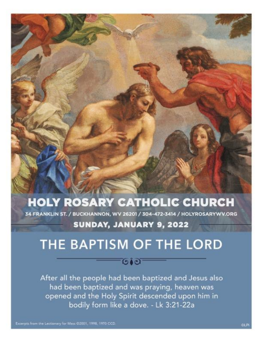# **HOLY ROSARY CATHOLIC CHURCH**

34 FRANKLIN ST. / BUCKHANNON, WV 26201 / 304-472-3414 / HOLYROSARYWV.ORG

# SUNDAY, JANUARY 9, 2022

# THE BAPTISM OF THE LORD

# $\bullet\bullet\bullet$

After all the people had been baptized and Jesus also had been baptized and was praying, heaven was opened and the Holy Spirit descended upon him in bodily form like a dove. - Lk 3:21-22a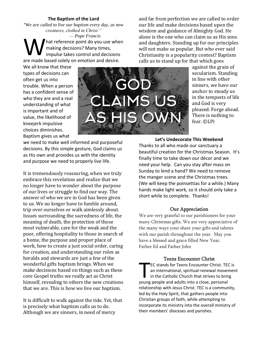# **The Baptism of the Lord**

"*We are called to live our baptism every day, as new creatures, clothed in Christ."*

*— Pope Francis* hat reference point do you use when making decisions? Many times, impulse takes control and decisions are point do you use where making decisions? Many times,<br>are made based solely on emotion and decisions.

We all know that these types of decisions can often get us into trouble. When a person has a confident sense of who they are and a real understanding of what is important and of value, the likelihood of kneejerk impulsive choices diminishes. Baptism gives us what



we need to make well informed and purposeful decisions. By this simple gesture, God claims us as His own and provides us with the identity and purpose we need to properly live life.

It is tremendously reassuring, when we truly embrace this revelation and realize that we no longer have to wonder about the purpose of our lives or struggle to find our way. The answer of who we are in God has been given to us. We no longer have to fumble around, trip over ourselves or walk aimlessly about. Issues surrounding the sacredness of life, the meaning of death, the protection of those most vulnerable, care for the weak and the poor, offering hospitality to those in search of a home, the purpose and proper place of work, how to create a just social order, caring for creation, and understanding our roles as heralds and stewards are just a few of the wonderful gifts baptism brings. When we make decisions based on things such as these core Gospel truths we really act as Christ himself, revealing to others the new creations that we are. This is how we live our baptism.

It is difficult to walk against the tide. Yet, that is precisely what baptism calls us to do. Although we are sinners, in need of mercy

and far from perfection we are called to order our life and make decisions based upon the wisdom and guidance of Almighty God. He alone is the one who can claim us as His sons and daughters. Standing up for our principles will not make us popular. But who ever said Christianity is a popularity contest? Baptism calls us to stand up for that which goes

> against the grain of secularism. Standing in line with other sinners, we have our anchor to steady us in the tempests of life and God is very pleased. Forge ahead. There is nothing to fear. ©LPi

**Let's Undecorate This Weekend**

Thanks to all who made our sanctuary a beautiful creation for the Christmas Season. It's finally time to take down our décor and we need your help. Can you stay after mass on Sunday to lend a hand? We need to remove the manger scene and the Christmas trees. (We will keep the poinsettias for a while.) Many hands make light work, so it should only take a short while to complete. Thanks!

## Our Appreciation

We are very grateful to our parishioners for your many Christmas gifts. We are very appreciative of the many ways your share your gifts and talents with our parish throughout the year. May you have a blessed and grace filled New Year, Father Ed and Father John

### Teens Encounter Christ

EC stands for Teens Encounter Christ. TEC is an international, spiritual-renewal movement in the Catholic Church that strives to bring EC stands for Teens Encounter Christ. TEC<br>
an international, spiritual-renewal mover<br>
in the Catholic Church that strives to brin<br>
young people and adults into a close, personal relationship with Jesus Christ. TEC is a community, led by the Holy Spirit, that gathers people into Christian groups of faith, while attempting to incorporate its ministry into the overall ministry of their members' dioceses and parishes.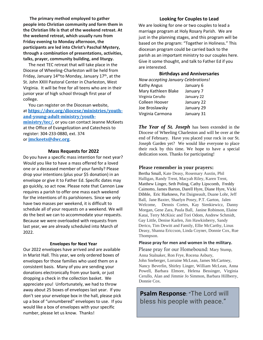**The primary method employed to gather people into Christian community and form them in the Christian life is that of the weekend retreat. At the weekend retreat, which usually runs from Friday evening to Monday afternoon, the participants are led into Christ's Paschal Mystery, through a combination of presentations, activities, talks, prayer, community building, and liturgy.**

 The next TEC retreat that will take place in the Diocese of Wheeling-Charleston will be held from Friday, January  $14<sup>th</sup>$ to Monday, January  $17<sup>th</sup>$ , at the St. John XXIII Pastoral Center in Charleston, West Virginia. It will be free for all teens who are in their junior year of high school through first year of college.

 You can register on the Diocesan website, at **[https://dwc.org/diocese/ministries/youth](https://dwc.org/diocese/ministries/youth-and-young-adult-ministry/youth-ministry/tec/)[and-young-adult-ministry/youth](https://dwc.org/diocese/ministries/youth-and-young-adult-ministry/youth-ministry/tec/)[ministry/tec/](https://dwc.org/diocese/ministries/youth-and-young-adult-ministry/youth-ministry/tec/)**, or you can contact Jeanne McKeets

at the Office of Evangelization and Catechesis to register: 304-233-0880, ext. 374 or **[jmckeets@dwc.org](mailto:jmckeets@dwc.org)**.

#### **Mass Requests for 2022**

Do you have a specific mass intention for next year? Would you like to have a mass offered for a loved one or a deceased member of your family? Please drop your intentions (plus your \$5 donation) in an envelope or give it to Father Ed. Specific dates may go quickly, so act now. Please note that Cannon Law requires a parish to offer one mass each weekend for the intentions of its parishioners. Since we only have two masses per weekend, it is difficult to schedule all of your requests on a weekend. We will do the best we can to accommodate your requests. Because we were overloaded with requests from last year, we are already scheduled into March of 2022.

#### **Envelopes for Next Year**

Our 2022 envelopes have arrived and are available in Marist Hall. This year, we only ordered boxes of envelopes for those families who used them on a consistent basis. Many of you are sending your donations electronically from your bank, or just dropping a check in the collection basket. We appreciate you! Unfortunately, we had to throw away about 25 boxes of envelopes last year. If you don't see your envelope box in the hall, please pick up a box of "unnumbered" envelopes to use. If you would like a box of envelopes with your specific number, please let us know. Thanks!

## **Looking for Couples to Lead**

We are looking for one or two couples to lead a marriage program at Holy Rosary Parish. We are just in the planning stages, and this program will be based on the program: "Together in Holiness." This diocesan program could be carried back to the parish as an important ministry to our couples here. Give it some thought, and talk to Father Ed if you are interested.

#### **Birthdays and Anniversaries**

| Now accepting January Celebrations! |            |
|-------------------------------------|------------|
| Kathy Angus                         | January 6  |
| Mary Kathleen Blake                 | January 7  |
| Virginia Cerullo                    | January 22 |
| Colleen Hoover                      | January 22 |
| Joe Broslawsky                      | January 29 |
| Virginia Carmona                    | January 31 |
|                                     |            |

*The Year of St. Joseph* has been extended in the Diocese of Wheeling Charleston and will be over at the end of February. Have you placed your rock in our St. Joseph Garden yet? We would like everyone to place their rock by this time. We hope to have a special dedication soon. Thanks for participating!

#### **Please remember in your prayers:**

Bertha Small, Kate Deasy, Rosemary Austin, Phil Halligan, Randy Trent, Macyah Riley, Karen Trent, Matthew Linger, Seth Poling, Cathy Lipscomb, Freddy Caimotto, James Barton, Darell Hyre, Diane Hyre, Vicki Dibble, Eric Harkness, Pat Daigneault, Duane Lohr, Jeff Ball, Jane Baxter, Shaelyn Posey, P.T. Garton, Jalen Welcome, Dennis Cortes, Kay Sienkiewicz, Danny Morgan, Gene Zara, Paula Ball, Janine Robinson, Elaine Katai, Terry McKisic and Tori Odom, Andrew Schmidt, Gay Little, Denise Karlen, Jim Hawkinberry, Sandy Derico, Tim Dewitt and Family, Ellie McCarthy, Linus Deasy, Shanna Ericcson, Linda Coyner, Donnie Cox, Rue Thompson.

#### **Please pray for men and women in the military.**

Please pray for our Homebound: Mary Stump, Anna Stalnaker, Ron Frye, Rocena Asbury, John Sneberger, Lorraine McLean, James McCartney, Nancy Beverlin, Shirley Linger, William McLean, Anna Powell, Barbara Elmore, Helena Bessinger, Virginia Cerullo, Alan and Jimmie Jo Simmon, Barbara Hillberry, Donnie Cox.

**Psalm Response**: "The Lord will bless his people with peace."